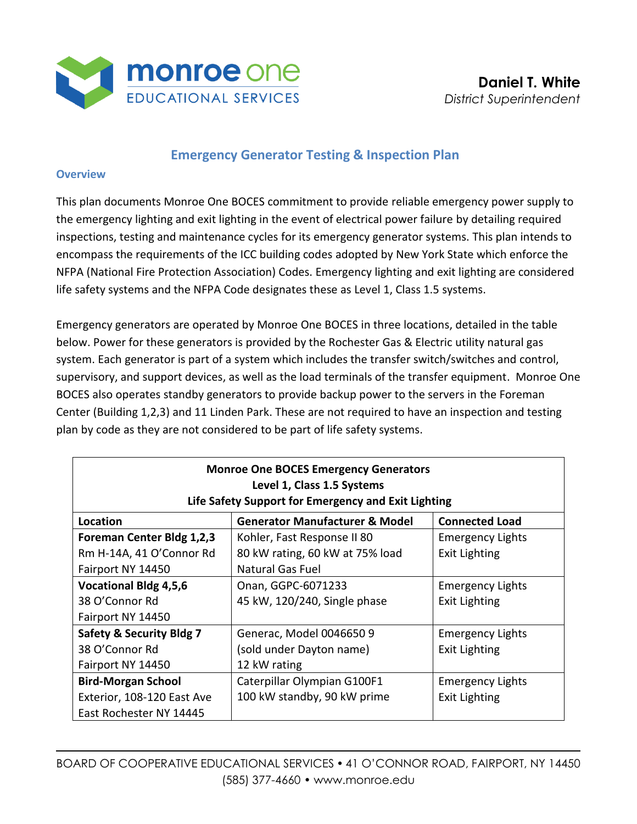

## **Emergency Generator Testing & Inspection Plan**

#### **Overview**

This plan documents Monroe One BOCES commitment to provide reliable emergency power supply to the emergency lighting and exit lighting in the event of electrical power failure by detailing required inspections, testing and maintenance cycles for its emergency generator systems. This plan intends to encompass the requirements of the ICC building codes adopted by New York State which enforce the NFPA (National Fire Protection Association) Codes. Emergency lighting and exit lighting are considered life safety systems and the NFPA Code designates these as Level 1, Class 1.5 systems.

Emergency generators are operated by Monroe One BOCES in three locations, detailed in the table below. Power for these generators is provided by the Rochester Gas & Electric utility natural gas system. Each generator is part of a system which includes the transfer switch/switches and control, supervisory, and support devices, as well as the load terminals of the transfer equipment. Monroe One BOCES also operates standby generators to provide backup power to the servers in the Foreman Center (Building 1,2,3) and 11 Linden Park. These are not required to have an inspection and testing plan by code as they are not considered to be part of life safety systems.

| <b>Monroe One BOCES Emergency Generators</b><br>Level 1, Class 1.5 Systems<br>Life Safety Support for Emergency and Exit Lighting |                                           |                         |  |
|-----------------------------------------------------------------------------------------------------------------------------------|-------------------------------------------|-------------------------|--|
| Location                                                                                                                          | <b>Generator Manufacturer &amp; Model</b> | <b>Connected Load</b>   |  |
| Foreman Center Bldg 1,2,3                                                                                                         | Kohler, Fast Response II 80               | <b>Emergency Lights</b> |  |
| Rm H-14A, 41 O'Connor Rd                                                                                                          | 80 kW rating, 60 kW at 75% load           | <b>Exit Lighting</b>    |  |
| Fairport NY 14450                                                                                                                 | Natural Gas Fuel                          |                         |  |
| <b>Vocational Bldg 4,5,6</b>                                                                                                      | Onan, GGPC-6071233                        | <b>Emergency Lights</b> |  |
| 38 O'Connor Rd                                                                                                                    | 45 kW, 120/240, Single phase              | <b>Exit Lighting</b>    |  |
| Fairport NY 14450                                                                                                                 |                                           |                         |  |
| <b>Safety &amp; Security Bldg 7</b>                                                                                               | Generac, Model 0046650 9                  | <b>Emergency Lights</b> |  |
| 38 O'Connor Rd                                                                                                                    | (sold under Dayton name)                  | <b>Exit Lighting</b>    |  |
| Fairport NY 14450                                                                                                                 | 12 kW rating                              |                         |  |
| <b>Bird-Morgan School</b>                                                                                                         | Caterpillar Olympian G100F1               | <b>Emergency Lights</b> |  |
| Exterior, 108-120 East Ave                                                                                                        | 100 kW standby, 90 kW prime               | Exit Lighting           |  |
| East Rochester NY 14445                                                                                                           |                                           |                         |  |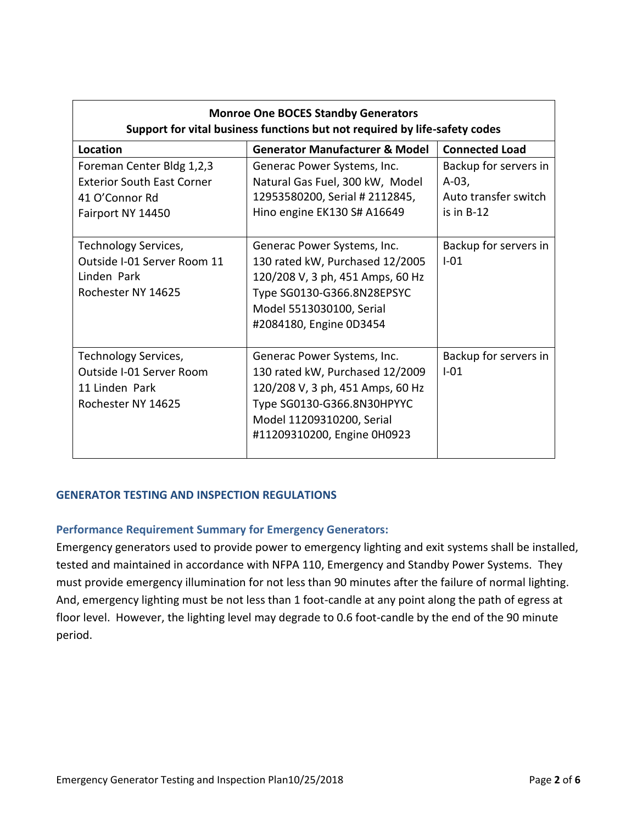| <b>Monroe One BOCES Standby Generators</b><br>Support for vital business functions but not required by life-safety codes |                                                                                                                                                                                              |                                                                          |  |
|--------------------------------------------------------------------------------------------------------------------------|----------------------------------------------------------------------------------------------------------------------------------------------------------------------------------------------|--------------------------------------------------------------------------|--|
| Location                                                                                                                 | <b>Generator Manufacturer &amp; Model</b>                                                                                                                                                    | <b>Connected Load</b>                                                    |  |
| Foreman Center Bldg 1,2,3<br><b>Exterior South East Corner</b><br>41 O'Connor Rd<br>Fairport NY 14450                    | Generac Power Systems, Inc.<br>Natural Gas Fuel, 300 kW, Model<br>12953580200, Serial # 2112845,<br>Hino engine EK130 S# A16649                                                              | Backup for servers in<br>$A-03,$<br>Auto transfer switch<br>is in $B-12$ |  |
| Technology Services,<br>Outside I-01 Server Room 11<br>Linden Park<br>Rochester NY 14625                                 | Generac Power Systems, Inc.<br>130 rated kW, Purchased 12/2005<br>120/208 V, 3 ph, 451 Amps, 60 Hz<br>Type SG0130-G366.8N28EPSYC<br>Model 5513030100, Serial<br>#2084180, Engine 0D3454      | Backup for servers in<br>$I-01$                                          |  |
| Technology Services,<br>Outside I-01 Server Room<br>11 Linden Park<br>Rochester NY 14625                                 | Generac Power Systems, Inc.<br>130 rated kW, Purchased 12/2009<br>120/208 V, 3 ph, 451 Amps, 60 Hz<br>Type SG0130-G366.8N30HPYYC<br>Model 11209310200, Serial<br>#11209310200, Engine 0H0923 | Backup for servers in<br>$I-01$                                          |  |

## **GENERATOR TESTING AND INSPECTION REGULATIONS**

### **Performance Requirement Summary for Emergency Generators:**

Emergency generators used to provide power to emergency lighting and exit systems shall be installed, tested and maintained in accordance with NFPA 110, Emergency and Standby Power Systems. They must provide emergency illumination for not less than 90 minutes after the failure of normal lighting. And, emergency lighting must be not less than 1 foot-candle at any point along the path of egress at floor level. However, the lighting level may degrade to 0.6 foot-candle by the end of the 90 minute period.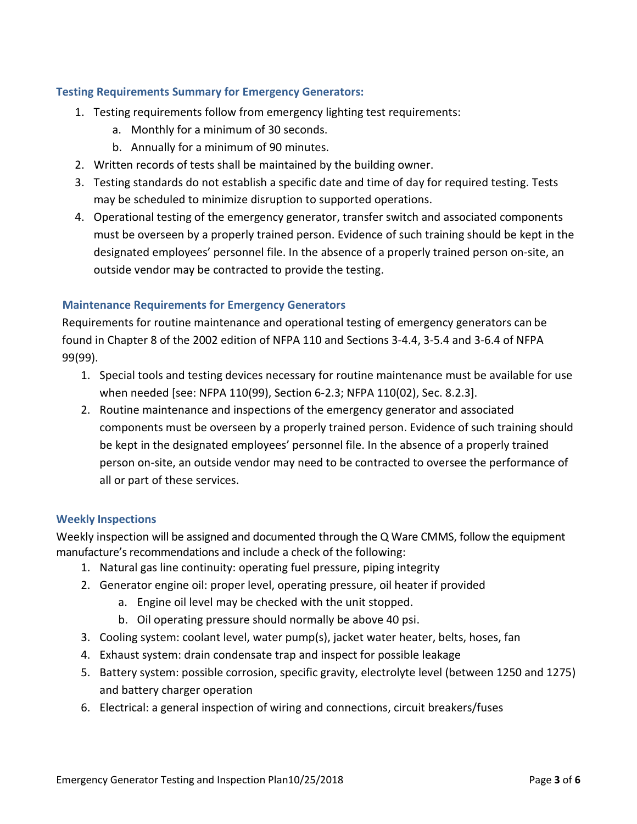#### **Testing Requirements Summary for Emergency Generators:**

- 1. Testing requirements follow from emergency lighting test requirements:
	- a. Monthly for a minimum of 30 seconds.
	- b. Annually for a minimum of 90 minutes.
- 2. Written records of tests shall be maintained by the building owner.
- 3. Testing standards do not establish a specific date and time of day for required testing. Tests may be scheduled to minimize disruption to supported operations.
- 4. Operational testing of the emergency generator, transfer switch and associated components must be overseen by a properly trained person. Evidence of such training should be kept in the designated employees' personnel file. In the absence of a properly trained person on‐site, an outside vendor may be contracted to provide the testing.

### **Maintenance Requirements for Emergency Generators**

Requirements for routine maintenance and operational testing of emergency generators can be found in Chapter 8 of the 2002 edition of NFPA 110 and Sections 3‐4.4, 3‐5.4 and 3‐6.4 of NFPA 99(99).

- 1. Special tools and testing devices necessary for routine maintenance must be available for use when needed [see: NFPA 110(99), Section 6‐2.3; NFPA 110(02), Sec. 8.2.3].
- 2. Routine maintenance and inspections of the emergency generator and associated components must be overseen by a properly trained person. Evidence of such training should be kept in the designated employees' personnel file. In the absence of a properly trained person on‐site, an outside vendor may need to be contracted to oversee the performance of all or part of these services.

#### **Weekly Inspections**

Weekly inspection will be assigned and documented through the Q Ware CMMS, follow the equipment manufacture's recommendations and include a check of the following:

- 1. Natural gas line continuity: operating fuel pressure, piping integrity
- 2. Generator engine oil: proper level, operating pressure, oil heater if provided
	- a. Engine oil level may be checked with the unit stopped.
	- b. Oil operating pressure should normally be above 40 psi.
- 3. Cooling system: coolant level, water pump(s), jacket water heater, belts, hoses, fan
- 4. Exhaust system: drain condensate trap and inspect for possible leakage
- 5. Battery system: possible corrosion, specific gravity, electrolyte level (between 1250 and 1275) and battery charger operation
- 6. Electrical: a general inspection of wiring and connections, circuit breakers/fuses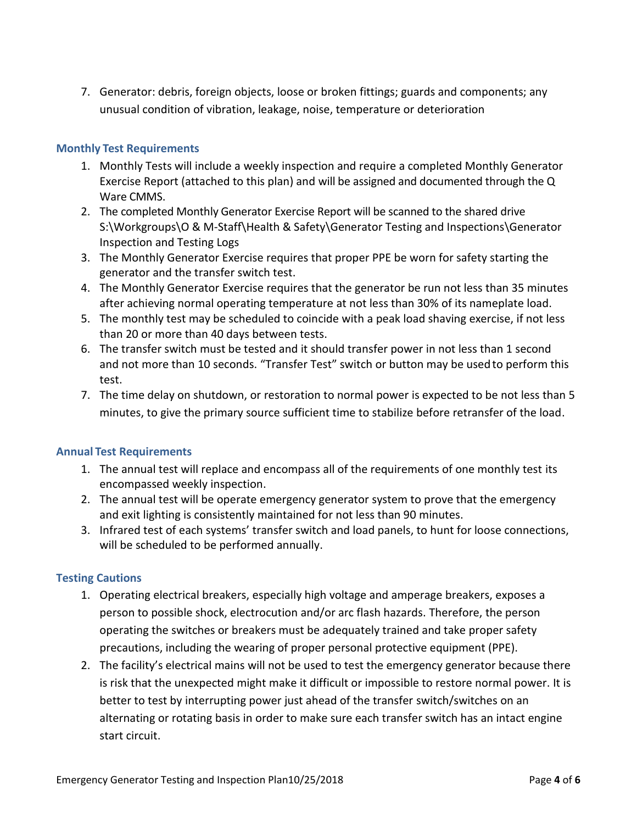7. Generator: debris, foreign objects, loose or broken fittings; guards and components; any unusual condition of vibration, leakage, noise, temperature or deterioration

# **Monthly Test Requirements**

- 1. Monthly Tests will include a weekly inspection and require a completed Monthly Generator Exercise Report (attached to this plan) and will be assigned and documented through the Q Ware CMMS.
- 2. The completed Monthly Generator Exercise Report will be scanned to the shared drive S:\Workgroups\O & M-Staff\Health & Safety\Generator Testing and Inspections\Generator Inspection and Testing Logs
- 3. The Monthly Generator Exercise requires that proper PPE be worn for safety starting the generator and the transfer switch test.
- 4. The Monthly Generator Exercise requires that the generator be run not less than 35 minutes after achieving normal operating temperature at not less than 30% of its nameplate load.
- 5. The monthly test may be scheduled to coincide with a peak load shaving exercise, if not less than 20 or more than 40 days between tests.
- 6. The transfer switch must be tested and it should transfer power in not less than 1 second and not more than 10 seconds. "Transfer Test" switch or button may be usedto perform this test.
- 7. The time delay on shutdown, or restoration to normal power is expected to be not less than 5 minutes, to give the primary source sufficient time to stabilize before retransfer of the load.

## **Annual Test Requirements**

- 1. The annual test will replace and encompass all of the requirements of one monthly test its encompassed weekly inspection.
- 2. The annual test will be operate emergency generator system to prove that the emergency and exit lighting is consistently maintained for not less than 90 minutes.
- 3. Infrared test of each systems' transfer switch and load panels, to hunt for loose connections, will be scheduled to be performed annually.

## **Testing Cautions**

- 1. Operating electrical breakers, especially high voltage and amperage breakers, exposes a person to possible shock, electrocution and/or arc flash hazards. Therefore, the person operating the switches or breakers must be adequately trained and take proper safety precautions, including the wearing of proper personal protective equipment (PPE).
- 2. The facility's electrical mains will not be used to test the emergency generator because there is risk that the unexpected might make it difficult or impossible to restore normal power. It is better to test by interrupting power just ahead of the transfer switch/switches on an alternating or rotating basis in order to make sure each transfer switch has an intact engine start circuit.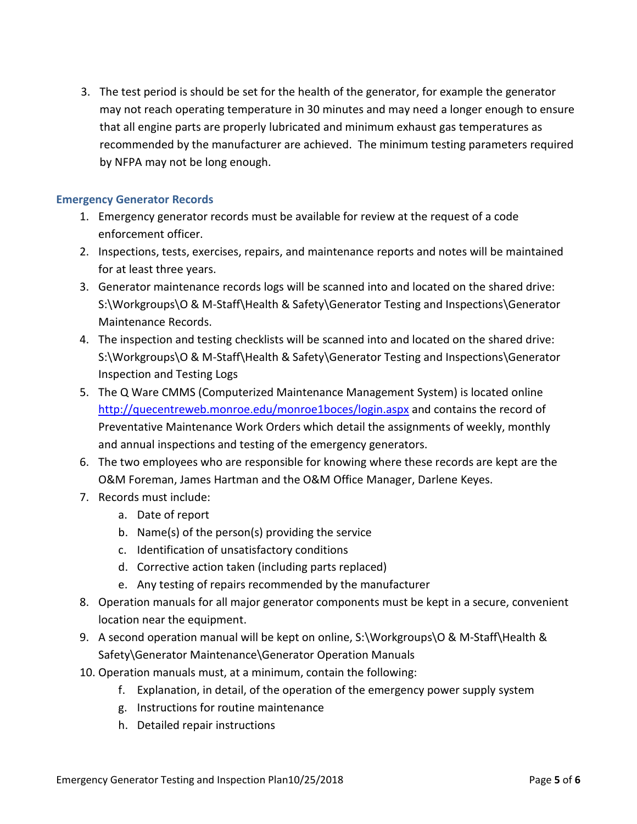3. The test period is should be set for the health of the generator, for example the generator may not reach operating temperature in 30 minutes and may need a longer enough to ensure that all engine parts are properly lubricated and minimum exhaust gas temperatures as recommended by the manufacturer are achieved. The minimum testing parameters required by NFPA may not be long enough.

### **Emergency Generator Records**

- 1. Emergency generator records must be available for review at the request of a code enforcement officer.
- 2. Inspections, tests, exercises, repairs, and maintenance reports and notes will be maintained for at least three years.
- 3. Generator maintenance records logs will be scanned into and located on the shared drive: S:\Workgroups\O & M-Staff\Health & Safety\Generator Testing and Inspections\Generator Maintenance Records.
- 4. The inspection and testing checklists will be scanned into and located on the shared drive: S:\Workgroups\O & M-Staff\Health & Safety\Generator Testing and Inspections\Generator Inspection and Testing Logs
- 5. The Q Ware CMMS (Computerized Maintenance Management System) is located online <http://quecentreweb.monroe.edu/monroe1boces/login.aspx> and contains the record of Preventative Maintenance Work Orders which detail the assignments of weekly, monthly and annual inspections and testing of the emergency generators.
- 6. The two employees who are responsible for knowing where these records are kept are the O&M Foreman, James Hartman and the O&M Office Manager, Darlene Keyes.
- 7. Records must include:
	- a. Date of report
	- b. Name(s) of the person(s) providing the service
	- c. Identification of unsatisfactory conditions
	- d. Corrective action taken (including parts replaced)
	- e. Any testing of repairs recommended by the manufacturer
- 8. Operation manuals for all major generator components must be kept in a secure, convenient location near the equipment.
- 9. A second operation manual will be kept on online, S:\Workgroups\O & M-Staff\Health & Safety\Generator Maintenance\Generator Operation Manuals
- 10. Operation manuals must, at a minimum, contain the following:
	- f. Explanation, in detail, of the operation of the emergency power supply system
	- g. Instructions for routine maintenance
	- h. Detailed repair instructions